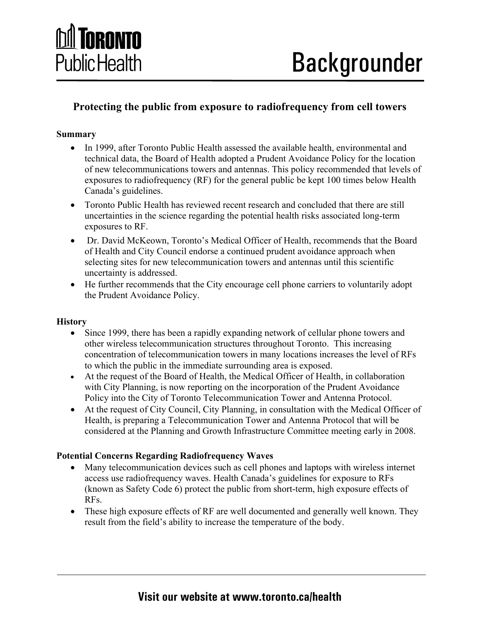

### **Protecting the public from exposure to radiofrequency from cell towers**

### **Summary**

- In 1999, after Toronto Public Health assessed the available health, environmental and technical data, the Board of Health adopted a Prudent Avoidance Policy for the location of new telecommunications towers and antennas. This policy recommended that levels of exposures to radiofrequency (RF) for the general public be kept 100 times below Health Canada's guidelines.
- Toronto Public Health has reviewed recent research and concluded that there are still uncertainties in the science regarding the potential health risks associated long-term exposures to RF.
- Dr. David McKeown, Toronto's Medical Officer of Health, recommends that the Board of Health and City Council endorse a continued prudent avoidance approach when selecting sites for new telecommunication towers and antennas until this scientific uncertainty is addressed.
- He further recommends that the City encourage cell phone carriers to voluntarily adopt the Prudent Avoidance Policy.

#### **History**

- Since 1999, there has been a rapidly expanding network of cellular phone towers and other wireless telecommunication structures throughout Toronto. This increasing concentration of telecommunication towers in many locations increases the level of RFs to which the public in the immediate surrounding area is exposed.
- At the request of the Board of Health, the Medical Officer of Health, in collaboration with City Planning, is now reporting on the incorporation of the Prudent Avoidance Policy into the City of Toronto Telecommunication Tower and Antenna Protocol.
- At the request of City Council, City Planning, in consultation with the Medical Officer of Health, is preparing a Telecommunication Tower and Antenna Protocol that will be considered at the Planning and Growth Infrastructure Committee meeting early in 2008.

### **Potential Concerns Regarding Radiofrequency Waves**

- Many telecommunication devices such as cell phones and laptops with wireless internet access use radiofrequency waves. Health Canada's guidelines for exposure to RFs (known as Safety Code 6) protect the public from short-term, high exposure effects of RFs.
- These high exposure effects of RF are well documented and generally well known. They result from the field's ability to increase the temperature of the body.